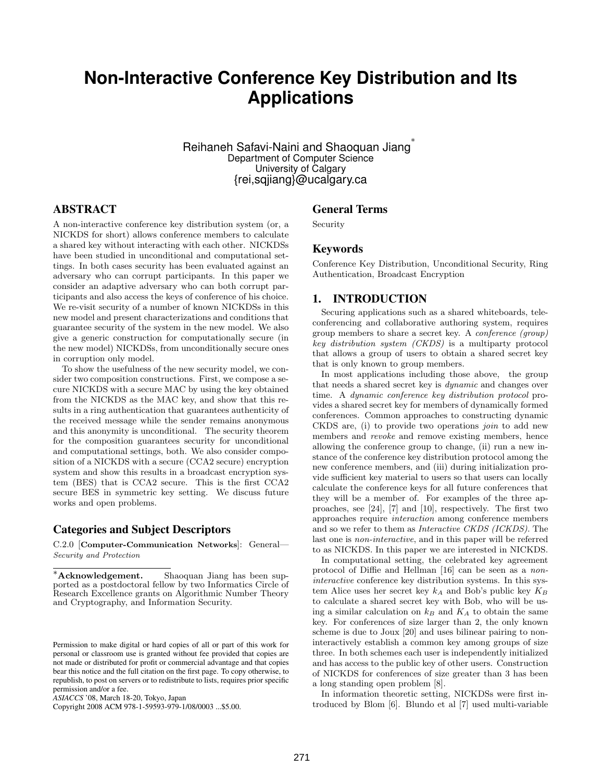# **Non-Interactive Conference Key Distribution and Its Applications**

Reihaneh Safavi-Naini and Shaoquan Jiang $^*$ Department of Computer Science University of Calgary {rei,sqjiang}@ucalgary.ca

### ABSTRACT

A non-interactive conference key distribution system (or, a NICKDS for short) allows conference members to calculate a shared key without interacting with each other. NICKDSs have been studied in unconditional and computational settings. In both cases security has been evaluated against an adversary who can corrupt participants. In this paper we consider an adaptive adversary who can both corrupt participants and also access the keys of conference of his choice. We re-visit security of a number of known NICKDSs in this new model and present characterizations and conditions that guarantee security of the system in the new model. We also give a generic construction for computationally secure (in the new model) NICKDSs, from unconditionally secure ones in corruption only model.

To show the usefulness of the new security model, we consider two composition constructions. First, we compose a secure NICKDS with a secure MAC by using the key obtained from the NICKDS as the MAC key, and show that this results in a ring authentication that guarantees authenticity of the received message while the sender remains anonymous and this anonymity is unconditional. The security theorem for the composition guarantees security for unconditional and computational settings, both. We also consider composition of a NICKDS with a secure (CCA2 secure) encryption system and show this results in a broadcast encryption system (BES) that is CCA2 secure. This is the first CCA2 secure BES in symmetric key setting. We discuss future works and open problems.

#### Categories and Subject Descriptors

C.2.0 [Computer-Communication Networks]: General— Security and Protection

#### General Terms

Security

## Keywords

Conference Key Distribution, Unconditional Security, Ring Authentication, Broadcast Encryption

#### 1. INTRODUCTION

Securing applications such as a shared whiteboards, teleconferencing and collaborative authoring system, requires group members to share a secret key. A conference (group) key distribution system (CKDS) is a multiparty protocol that allows a group of users to obtain a shared secret key that is only known to group members.

In most applications including those above, the group that needs a shared secret key is dynamic and changes over time. A dynamic conference key distribution protocol provides a shared secret key for members of dynamically formed conferences. Common approaches to constructing dynamic CKDS are, (i) to provide two operations join to add new members and revoke and remove existing members, hence allowing the conference group to change, (ii) run a new instance of the conference key distribution protocol among the new conference members, and (iii) during initialization provide sufficient key material to users so that users can locally calculate the conference keys for all future conferences that they will be a member of. For examples of the three approaches, see [24], [7] and [10], respectively. The first two approaches require interaction among conference members and so we refer to them as Interactive CKDS (ICKDS). The last one is non-interactive, and in this paper will be referred to as NICKDS. In this paper we are interested in NICKDS.

In computational setting, the celebrated key agreement protocol of Diffie and Hellman [16] can be seen as a noninteractive conference key distribution systems. In this system Alice uses her secret key  $k_A$  and Bob's public key  $K_B$ to calculate a shared secret key with Bob, who will be using a similar calculation on  $k_B$  and  $K_A$  to obtain the same key. For conferences of size larger than 2, the only known scheme is due to Joux [20] and uses bilinear pairing to noninteractively establish a common key among groups of size three. In both schemes each user is independently initialized and has access to the public key of other users. Construction of NICKDS for conferences of size greater than 3 has been a long standing open problem [8].

In information theoretic setting, NICKDSs were first introduced by Blom [6]. Blundo et al [7] used multi-variable

<sup>∗</sup>Acknowledgement. Shaoquan Jiang has been supported as a postdoctoral fellow by two Informatics Circle of Research Excellence grants on Algorithmic Number Theory and Cryptography, and Information Security.

Permission to make digital or hard copies of all or part of this work for personal or classroom use is granted without fee provided that copies are not made or distributed for profit or commercial advantage and that copies bear this notice and the full citation on the first page. To copy otherwise, to republish, to post on servers or to redistribute to lists, requires prior specific permission and/or a fee.

*ASIACCS* '08, March 18-20, Tokyo, Japan

Copyright 2008 ACM 978-1-59593-979-1/08/0003 ...\$5.00.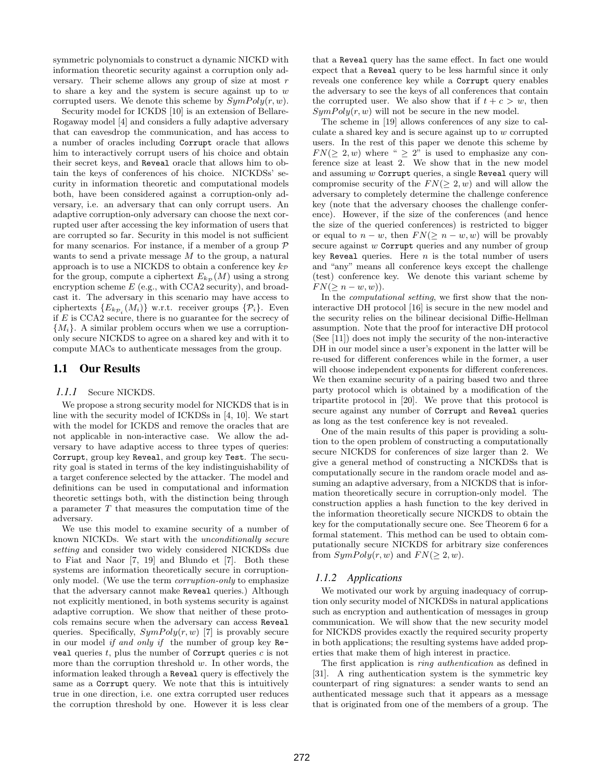symmetric polynomials to construct a dynamic NICKD with information theoretic security against a corruption only adversary. Their scheme allows any group of size at most  $r$ to share a key and the system is secure against up to  $w$ corrupted users. We denote this scheme by  $SymPoly(r, w)$ .

Security model for ICKDS [10] is an extension of Bellare-Rogaway model [4] and considers a fully adaptive adversary that can eavesdrop the communication, and has access to a number of oracles including Corrupt oracle that allows him to interactively corrupt users of his choice and obtain their secret keys, and Reveal oracle that allows him to obtain the keys of conferences of his choice. NICKDSs' security in information theoretic and computational models both, have been considered against a corruption-only adversary, i.e. an adversary that can only corrupt users. An adaptive corruption-only adversary can choose the next corrupted user after accessing the key information of users that are corrupted so far. Security in this model is not sufficient for many scenarios. For instance, if a member of a group  $P$ wants to send a private message  $M$  to the group, a natural approach is to use a NICKDS to obtain a conference key  $k_{\mathcal{P}}$ for the group, compute a ciphertext  $E_{k,p}(M)$  using a strong encryption scheme  $E$  (e.g., with CCA2 security), and broadcast it. The adversary in this scenario may have access to ciphertexts  $\{E_{k_{\mathcal{P}_i}}(M_i)\}\$  w.r.t. receiver groups  $\{\mathcal{P}_i\}\$ . Even if  $E$  is CCA2 secure, there is no guarantee for the secrecy of  ${M<sub>i</sub>}$ . A similar problem occurs when we use a corruptiononly secure NICKDS to agree on a shared key and with it to compute MACs to authenticate messages from the group.

#### 1.1 Our Results

#### *1.1.1* Secure NICKDS.

We propose a strong security model for NICKDS that is in line with the security model of ICKDSs in [4, 10]. We start with the model for ICKDS and remove the oracles that are not applicable in non-interactive case. We allow the adversary to have adaptive access to three types of queries: Corrupt, group key Reveal, and group key Test. The security goal is stated in terms of the key indistinguishability of a target conference selected by the attacker. The model and definitions can be used in computational and information theoretic settings both, with the distinction being through a parameter  $T$  that measures the computation time of the adversary.

We use this model to examine security of a number of known NICKDs. We start with the unconditionally secure setting and consider two widely considered NICKDSs due to Fiat and Naor [7, 19] and Blundo et [7]. Both these systems are information theoretically secure in corruptiononly model. (We use the term corruption-only to emphasize that the adversary cannot make Reveal queries.) Although not explicitly mentioned, in both systems security is against adaptive corruption. We show that neither of these protocols remains secure when the adversary can access Reveal queries. Specifically,  $SymPoly(r, w)$  [7] is provably secure in our model if and only if the number of group key Reveal queries  $t$ , plus the number of Corrupt queries  $c$  is not more than the corruption threshold  $w$ . In other words, the information leaked through a Reveal query is effectively the same as a Corrupt query. We note that this is intuitively true in one direction, i.e. one extra corrupted user reduces the corruption threshold by one. However it is less clear

that a Reveal query has the same effect. In fact one would expect that a Reveal query to be less harmful since it only reveals one conference key while a Corrupt query enables the adversary to see the keys of all conferences that contain the corrupted user. We also show that if  $t + c > w$ , then  $SymPoly(r, w)$  will not be secure in the new model.

The scheme in [19] allows conferences of any size to calculate a shared key and is secure against up to w corrupted users. In the rest of this paper we denote this scheme by  $FN(\geq 2, w)$  where "  $\geq 2$ " is used to emphasize any conference size at least 2. We show that in the new model and assuming  $w$  Corrupt queries, a single Reveal query will compromise security of the  $FN(\geq 2, w)$  and will allow the adversary to completely determine the challenge conference key (note that the adversary chooses the challenge conference). However, if the size of the conferences (and hence the size of the queried conferences) is restricted to bigger or equal to  $n - w$ , then  $FN(\geq n - w, w)$  will be provably secure against w Corrupt queries and any number of group key Reveal queries. Here  $n$  is the total number of users and "any" means all conference keys except the challenge (test) conference key. We denote this variant scheme by  $FN(>n-w,w)).$ 

In the computational setting, we first show that the noninteractive DH protocol [16] is secure in the new model and the security relies on the bilinear decisional Diffie-Hellman assumption. Note that the proof for interactive DH protocol (See [11]) does not imply the security of the non-interactive DH in our model since a user's exponent in the latter will be re-used for different conferences while in the former, a user will choose independent exponents for different conferences. We then examine security of a pairing based two and three party protocol which is obtained by a modification of the tripartite protocol in [20]. We prove that this protocol is secure against any number of Corrupt and Reveal queries as long as the test conference key is not revealed.

One of the main results of this paper is providing a solution to the open problem of constructing a computationally secure NICKDS for conferences of size larger than 2. We give a general method of constructing a NICKDSs that is computationally secure in the random oracle model and assuming an adaptive adversary, from a NICKDS that is information theoretically secure in corruption-only model. The construction applies a hash function to the key derived in the information theoretically secure NICKDS to obtain the key for the computationally secure one. See Theorem 6 for a formal statement. This method can be used to obtain computationally secure NICKDS for arbitrary size conferences from  $SymPoly(r, w)$  and  $FN(\geq 2, w)$ .

#### *1.1.2 Applications*

We motivated our work by arguing inadequacy of corruption only security model of NICKDSs in natural applications such as encryption and authentication of messages in group communication. We will show that the new security model for NICKDS provides exactly the required security property in both applications; the resulting systems have added properties that make them of high interest in practice.

The first application is ring authentication as defined in [31]. A ring authentication system is the symmetric key counterpart of ring signatures: a sender wants to send an authenticated message such that it appears as a message that is originated from one of the members of a group. The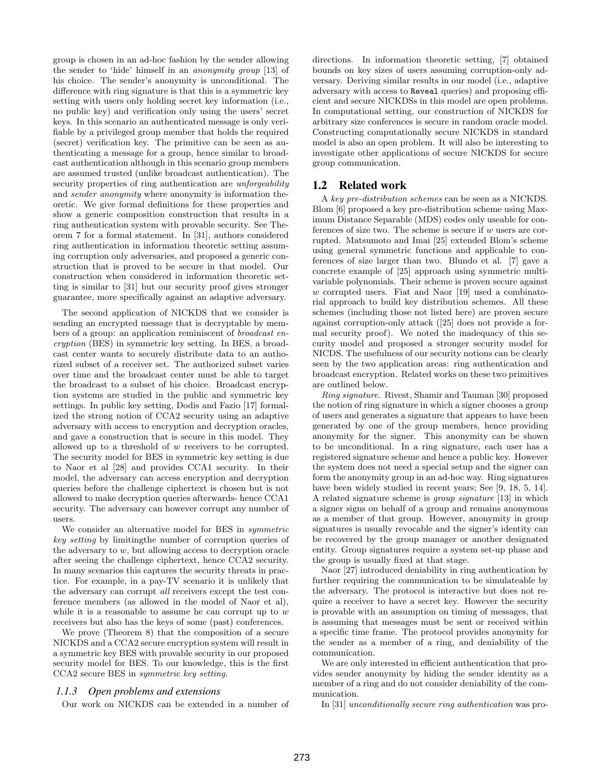group is chosen in an ad-hoc fashion by the sender allowing the sender to 'hide' himself in an anonymity group [13] of his choice. The sender's anonymity is unconditional. The difference with ring signature is that this is a symmetric key setting with users only holding secret key information (i.e., no public key) and verification only using the users' secret keys. In this scenario an authenticated message is only verifiable by a privileged group member that holds the required (secret) verification key. The primitive can be seen as authenticating a message for a group, hence similar to broadcast authentication although in this scenario group members are assumed trusted (unlike broadcast authentication). The security properties of ring authentication are *unforgeability* and sender anonymity where anonymity is information theoretic. We give formal definitions for these properties and show a generic composition construction that results in a ring authentication system with provable security. See Theorem 7 for a formal statement. In [31], authors considered ring authentication in information theoretic setting assuming corruption only adversaries, and proposed a generic construction that is proved to be secure in that model. Our construction when considered in information theoretic setting is similar to [31] but our security proof gives stronger guarantee, more specifically against an adaptive adversary.

The second application of NICKDS that we consider is sending an encrypted message that is decryptable by members of a group: an application reminiscent of broadcast encryption (BES) in symmetric key setting. In BES, a broadcast center wants to securely distribute data to an authorized subset of a receiver set. The authorized subset varies over time and the broadcast center must be able to target the broadcast to a subset of his choice. Broadcast encryption systems are studied in the public and symmetric key settings. In public key setting, Dodis and Fazio [17] formalized the strong notion of CCA2 security using an adaptive adversary with access to encryption and decryption oracles, and gave a construction that is secure in this model. They allowed up to a threshold of w receivers to be corrupted. The security model for BES in symmetric key setting is due to Naor et al [28] and provides CCA1 security. In their model, the adversary can access encryption and decryption queries before the challenge ciphertext is chosen but is not allowed to make decryption queries afterwards- hence CCA1 security. The adversary can however corrupt any number of users.

We consider an alternative model for BES in symmetric key setting by limitingthe number of corruption queries of the adversary to w, but allowing access to decryption oracle after seeing the challenge ciphertext, hence CCA2 security. In many scenarios this captures the security threats in practice. For example, in a pay-TV scenario it is unlikely that the adversary can corrupt all receivers except the test conference members (as allowed in the model of Naor et al), while it is a reasonable to assume he can corrupt up to  $w$ receivers but also has the keys of some (past) conferences.

We prove (Theorem 8) that the composition of a secure NICKDS and a CCA2 secure encryption system will result in a symmetric key BES with provable security in our proposed security model for BES. To our knowledge, this is the first CCA2 secure BES in symmetric key setting.

#### *1.1.3 Open problems and extensions*

Our work on NICKDS can be extended in a number of

directions. In information theoretic setting, [7] obtained bounds on key sizes of users assuming corruption-only adversary. Deriving similar results in our model (i.e., adaptive adversary with access to Reveal queries) and proposing efficient and secure NICKDSs in this model are open problems. In computational setting, our construction of NICKDS for arbitrary size conferences is secure in random oracle model. Constructing computationally secure NICKDS in standard model is also an open problem. It will also be interesting to investigate other applications of secure NICKDS for secure group communication.

#### 1.2 Related work

A key pre-distribution schemes can be seen as a NICKDS. Blom [6] proposed a key pre-distribution scheme using Maximum Distance Separable (MDS) codes only useable for conferences of size two. The scheme is secure if  $w$  users are corrupted. Matsumoto and Imai [25] extended Blom's scheme using general symmetric functions and applicable to conferences of size larger than two. Blundo et al. [7] gave a concrete example of [25] approach using symmetric multivariable polynomials. Their scheme is proven secure against w corrupted users. Fiat and Naor [19] used a combinatorial approach to build key distribution schemes. All these schemes (including those not listed here) are proven secure against corruption-only attack ([25] does not provide a formal security proof). We noted the inadequacy of this security model and proposed a stronger security model for NICDS. The usefulness of our security notions can be clearly seen by the two application areas: ring authentication and broadcast encryption. Related works on these two primitives are outlined below.

Ring signature. Rivest, Shamir and Tauman [30] proposed the notion of ring signature in which a signer chooses a group of users and generates a signature that appears to have been generated by one of the group members, hence providing anonymity for the signer. This anonymity can be shown to be unconditional. In a ring signature, each user has a registered signature scheme and hence a public key. However the system does not need a special setup and the signer can form the anonymity group in an ad-hoc way. Ring signatures have been widely studied in recent years; See [9, 18, 5, 14]. A related signature scheme is group signature [13] in which a signer signs on behalf of a group and remains anonymous as a member of that group. However, anonymity in group signatures is usually revocable and the signer's identity can be recovered by the group manager or another designated entity. Group signatures require a system set-up phase and the group is usually fixed at that stage.

Naor [27] introduced deniability in ring authentication by further requiring the communication to be simulateable by the adversary. The protocol is interactive but does not require a receiver to have a secret key. However the security is provable with an assumption on timing of messages, that is assuming that messages must be sent or received within a specific time frame. The protocol provides anonymity for the sender as a member of a ring, and deniability of the communication.

We are only interested in efficient authentication that provides sender anonymity by hiding the sender identity as a member of a ring and do not consider deniability of the communication.

In [31] unconditionally secure ring authentication was pro-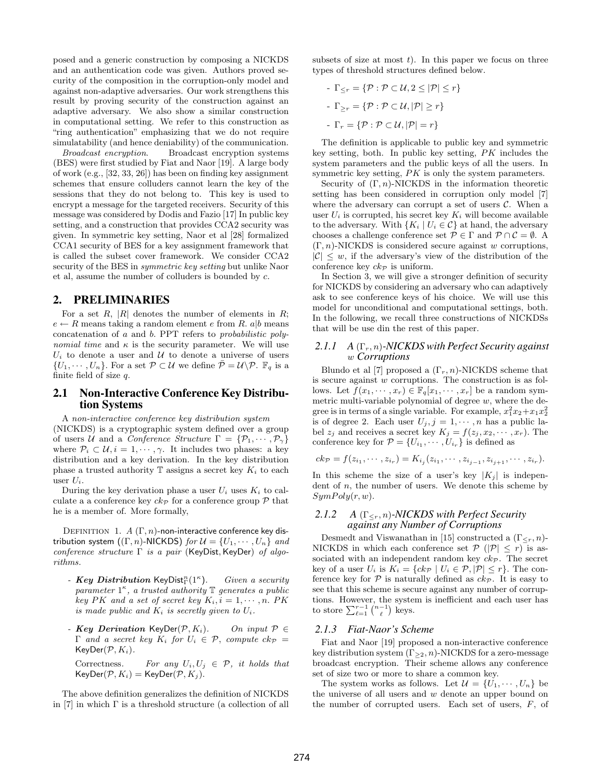posed and a generic construction by composing a NICKDS and an authentication code was given. Authors proved security of the composition in the corruption-only model and against non-adaptive adversaries. Our work strengthens this result by proving security of the construction against an adaptive adversary. We also show a similar construction in computational setting. We refer to this construction as "ring authentication" emphasizing that we do not require simulatability (and hence deniability) of the communication.

Broadcast encryption. Broadcast encryption systems (BES) were first studied by Fiat and Naor [19]. A large body of work (e.g., [32, 33, 26]) has been on finding key assignment schemes that ensure colluders cannot learn the key of the sessions that they do not belong to. This key is used to encrypt a message for the targeted receivers. Security of this message was considered by Dodis and Fazio [17] In public key setting, and a construction that provides CCA2 security was given. In symmetric key setting, Naor et al [28] formalized CCA1 security of BES for a key assignment framework that is called the subset cover framework. We consider CCA2 security of the BES in symmetric key setting but unlike Naor et al, assume the number of colluders is bounded by c.

#### 2. PRELIMINARIES

For a set  $R$ ,  $|R|$  denotes the number of elements in  $R$ ;  $e \leftarrow R$  means taking a random element e from R. a|b means concatenation of a and b. PPT refers to probabilistic polynomial time and  $\kappa$  is the security parameter. We will use  $U_i$  to denote a user and  $U$  to denote a universe of users  $\{U_1, \cdots, U_n\}$ . For a set  $\mathcal{P} \subset \mathcal{U}$  we define  $\overline{\mathcal{P}} = \mathcal{U} \backslash \mathcal{P}$ .  $\mathbb{F}_q$  is a finite field of size  $q$ .

#### 2.1 Non-Interactive Conference Key Distribution Systems

A non-interactive conference key distribution system (NICKDS) is a cryptographic system defined over a group of users U and a Conference Structure  $\Gamma = \{P_1, \cdots, P_{\gamma}\}\$ where  $\mathcal{P}_i \subset \mathcal{U}, i = 1, \cdots, \gamma$ . It includes two phases: a key distribution and a key derivation. In the key distribution phase a trusted authority  $\mathbb T$  assigns a secret key  $K_i$  to each user  $U_i$ .

During the key derivation phase a user  $U_i$  uses  $K_i$  to calculate a a conference key  $ck_{\mathcal{P}}$  for a conference group  $\mathcal P$  that he is a member of. More formally,

DEFINITION 1. A  $(\Gamma, n)$ -non-interactive conference key distribution system  $((\Gamma, n)$ -NICKDS) for  $\mathcal{U} = \{U_1, \cdots, U_n\}$  and conference structure Γ is a pair (KeyDist, KeyDer) of algorithms.

- Key Distribution KeyDist $_{\Gamma}^n(1^{\kappa})$ ). Given a security parameter  $1^{\kappa}$ , a trusted authority  $\mathbb T$  generates a public key PK and a set of secret key  $K_i, i = 1, \cdots, n$ . PK is made public and  $K_i$  is secretly given to  $U_i$ .
- Key Derivation KeyDer( $\mathcal{P}, K_i$ ). On input  $\mathcal{P} \in$  $\Gamma$  and a secret key  $K_i$  for  $U_i \in \mathcal{P}$ , compute  $ck_{\mathcal{P}} =$  $KeyDer(\mathcal{P}, K_i)$ .

Correctness. For any  $U_i, U_j \in \mathcal{P}$ , it holds that  $KeyDer(\mathcal{P}, K_i) = KeyDer(\mathcal{P}, K_j).$ 

The above definition generalizes the definition of NICKDS in [7] in which  $\Gamma$  is a threshold structure (a collection of all subsets of size at most  $t$ ). In this paper we focus on three types of threshold structures defined below.

- 
$$
\Gamma_{\leq r} = \{ \mathcal{P} : \mathcal{P} \subset \mathcal{U}, 2 \leq |\mathcal{P}| \leq r \}
$$
  
\n-  $\Gamma_{\geq r} = \{ \mathcal{P} : \mathcal{P} \subset \mathcal{U}, |\mathcal{P}| \geq r \}$   
\n-  $\Gamma_r = \{ \mathcal{P} : \mathcal{P} \subset \mathcal{U}, |\mathcal{P}| = r \}$ 

The definition is applicable to public key and symmetric key setting, both. In public key setting, PK includes the system parameters and the public keys of all the users. In symmetric key setting, PK is only the system parameters.

Security of  $(\Gamma, n)$ -NICKDS in the information theoretic setting has been considered in corruption only model [7] where the adversary can corrupt a set of users  $C$ . When a user  $U_i$  is corrupted, his secret key  $K_i$  will become available to the adversary. With  $\{K_i \mid U_i \in \mathcal{C}\}\$ at hand, the adversary chooses a challenge conference set  $\mathcal{P} \in \Gamma$  and  $\mathcal{P} \cap \mathcal{C} = \emptyset$ . A  $(\Gamma, n)$ -NICKDS is considered secure against w corruptions,  $|\mathcal{C}| \leq w$ , if the adversary's view of the distribution of the conference key  $ck_{\mathcal{P}}$  is uniform.

In Section 3, we will give a stronger definition of security for NICKDS by considering an adversary who can adaptively ask to see conference keys of his choice. We will use this model for unconditional and computational settings, both. In the following, we recall three constructions of NICKDSs that will be use din the rest of this paper.

#### *2.1.1 A* (Γr, n)*-NICKDS with Perfect Security against* w *Corruptions*

Blundo et al [7] proposed a  $(\Gamma_r, n)$ -NICKDS scheme that is secure against  $w$  corruptions. The construction is as follows. Let  $f(x_1, \dots, x_r) \in \mathbb{F}_q[x_1, \dots, x_r]$  be a random symmetric multi-variable polynomial of degree  $w$ , where the degree is in terms of a single variable. For example,  $x_1^2x_2+x_1x_2^2$ is of degree 2. Each user  $U_j, j = 1, \dots, n$  has a public label  $z_j$  and receives a secret key  $K_j = f(z_j, x_2, \dots, x_r)$ . The conference key for  $\mathcal{P} = \{U_{i_1}, \cdots, U_{i_r}\}\$ is defined as

$$
ck_{\mathcal{P}} = f(z_{i_1}, \cdots, z_{i_r}) = K_{i_j}(z_{i_1}, \cdots, z_{i_{j-1}}, z_{i_{j+1}}, \cdots, z_{i_r}).
$$

In this scheme the size of a user's key  $|K_j|$  is independent of  $n$ , the number of users. We denote this scheme by  $SymPoly(r, w).$ 

#### *2.1.2 A* (Γ≤r, n)*-NICKDS with Perfect Security against any Number of Corruptions*

Desmedt and Viswanathan in [15] constructed a  $(\Gamma_{\leq r}, n)$ -NICKDS in which each conference set  $P(|P| \leq r)$  is associated with an independent random key  $ck_{\mathcal{P}}$ . The secret key of a user  $U_i$  is  $K_i = \{ck_{\mathcal{P}} \mid U_i \in \mathcal{P}, |\mathcal{P}| \leq r\}.$  The conference key for  $P$  is naturally defined as  $ck_{\mathcal{P}}$ . It is easy to see that this scheme is secure against any number of corruptions. However, the system is inefficient and each user has to store  $\sum_{\ell=1}^{r-1} \binom{n-1}{\ell}$  keys. ¢ keys.

#### *2.1.3 Fiat-Naor's Scheme*

Fiat and Naor [19] proposed a non-interactive conference key distribution system  $(\Gamma_{\geq 2}, n)$ -NICKDS for a zero-message broadcast encryption. Their scheme allows any conference set of size two or more to share a common key.

The system works as follows. Let  $\mathcal{U} = \{U_1, \dots, U_n\}$  be the universe of all users and  $w$  denote an upper bound on the number of corrupted users. Each set of users, F, of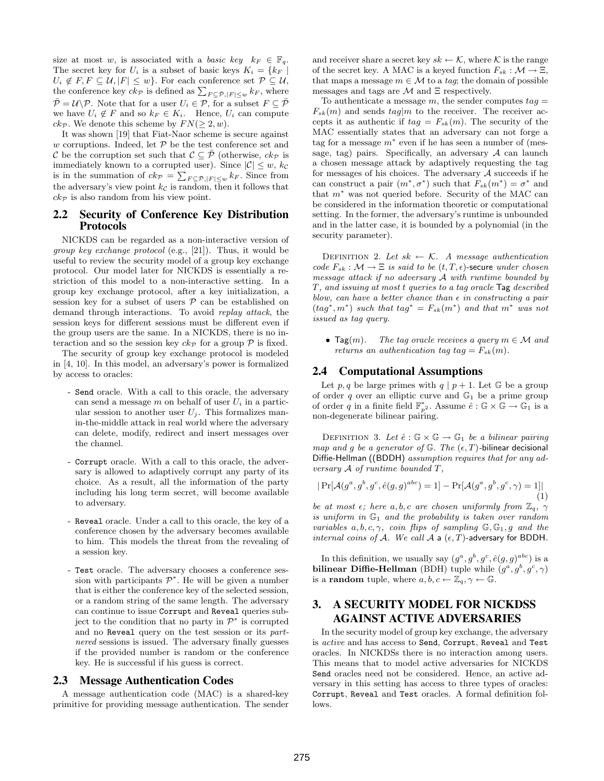size at most w, is associated with a basic key  $k_F \in \mathbb{F}_q$ . The secret key for  $U_i$  is a subset of basic keys  $K_i = \{k_F \mid$  $U_i \notin F, F \subseteq \mathcal{U}, |F| \leq w$ . For each conference set  $\mathcal{P} \subseteq \mathcal{U}$ ,  $U_i \notin F, F \subseteq U, |F| \leq w$ . For each conference set  $F \subseteq U$ ,<br>the conference key  $ck_{\mathcal{P}}$  is defined as  $\sum_{F \subseteq \bar{\mathcal{P}}, |F| \leq w} k_F$ , where  $\overline{\mathcal{P}} = \mathcal{U} \backslash \mathcal{P}$ . Note that for a user  $U_i \in \mathcal{P}$ , for a subset  $F \subseteq \overline{\mathcal{P}}$ we have  $U_i \notin F$  and so  $k_F \in K_i$ . Hence,  $U_i$  can compute  $ck_{\mathcal{P}}$ . We denote this scheme by  $FN(\geq 2, w)$ .

It was shown [19] that Fiat-Naor scheme is secure against w corruptions. Indeed, let  $P$  be the test conference set and C be the corruption set such that  $\mathcal{C} \subseteq \overline{\mathcal{P}}$  (otherwise,  $ck_{\mathcal{P}}$  is immediately known to a corrupted user). Since  $|\mathcal{C}| \leq w$ ,  $k_{\mathcal{C}}$ is in the summation of  $ck_{\mathcal{P}} = \sum$  $_{F \subset \bar{\mathcal{P}}, |F| \leq w} k_F$ . Since from the adversary's view point  $k<sub>c</sub>$  is random, then it follows that  $ck_{\mathcal{P}}$  is also random from his view point.

#### 2.2 Security of Conference Key Distribution Protocols

NICKDS can be regarded as a non-interactive version of group key exchange protocol (e.g., [21]). Thus, it would be useful to review the security model of a group key exchange protocol. Our model later for NICKDS is essentially a restriction of this model to a non-interactive setting. In a group key exchange protocol, after a key initialization, a session key for a subset of users  $P$  can be established on demand through interactions. To avoid replay attack, the session keys for different sessions must be different even if the group users are the same. In a NICKDS, there is no interaction and so the session key  $ck_{\mathcal{P}}$  for a group  $\mathcal P$  is fixed.

The security of group key exchange protocol is modeled in [4, 10]. In this model, an adversary's power is formalized by access to oracles:

- Send oracle. With a call to this oracle, the adversary can send a message  $m$  on behalf of user  $U_i$  in a particular session to another user  $U_j$ . This formalizes manin-the-middle attack in real world where the adversary can delete, modify, redirect and insert messages over the channel.
- Corrupt oracle. With a call to this oracle, the adversary is allowed to adaptively corrupt any party of its choice. As a result, all the information of the party including his long term secret, will become available to adversary.
- Reveal oracle. Under a call to this oracle, the key of a conference chosen by the adversary becomes available to him. This models the threat from the revealing of a session key.
- Test oracle. The adversary chooses a conference session with participants  $\mathcal{P}^*$ . He will be given a number that is either the conference key of the selected session, or a random string of the same length. The adversary can continue to issue Corrupt and Reveal queries subject to the condition that no party in  $\mathcal{P}^*$  is corrupted and no Reveal query on the test session or its partnered sessions is issued. The adversary finally guesses if the provided number is random or the conference key. He is successful if his guess is correct.

#### 2.3 Message Authentication Codes

A message authentication code (MAC) is a shared-key primitive for providing message authentication. The sender and receiver share a secret key  $sk \leftarrow \mathcal{K}$ , where  $\mathcal{K}$  is the range of the secret key. A MAC is a keyed function  $F_{sk} : \mathcal{M} \to \Xi$ , that maps a message  $m \in \mathcal{M}$  to a tag; the domain of possible messages and tags are  $\mathcal M$  and  $\Xi$  respectively.

To authenticate a message m, the sender computes  $taq =$  $F_{sk}(m)$  and sends  $tag|m$  to the receiver. The receiver accepts it as authentic if  $tag = F_{sk}(m)$ . The security of the MAC essentially states that an adversary can not forge a tag for a message  $m^*$  even if he has seen a number of (message, tag) pairs. Specifically, an adversary  $A$  can launch a chosen message attack by adaptively requesting the tag for messages of his choices. The adversary  $A$  succeeds if he can construct a pair  $(m^*, \sigma^*)$  such that  $F_{sk}(m^*) = \sigma^*$  and that  $m^*$  was not queried before. Security of the MAC can be considered in the information theoretic or computational setting. In the former, the adversary's runtime is unbounded and in the latter case, it is bounded by a polynomial (in the security parameter).

DEFINITION 2. Let  $sk \leftarrow \mathcal{K}$ . A message authentication code  $F_{sk} : \mathcal{M} \to \Xi$  is said to be  $(t, T, \epsilon)$ -secure under chosen message attack if no adversary A with runtime bounded by T, and issuing at most t queries to a tag oracle Tag described blow, can have a better chance than  $\epsilon$  in constructing a pair  $(tag^*, m^*)$  such that  $tag^* = F_{sk}(m^*)$  and that  $m^*$  was not issued as tag query.

• Tag(m). The tag oracle receives a query  $m \in \mathcal{M}$  and returns an authentication tag tag =  $F_{sk}(m)$ .

#### 2.4 Computational Assumptions

Let p, q be large primes with  $q | p + 1$ . Let G be a group of order q over an elliptic curve and  $\mathbb{G}_1$  be a prime group of order q in a finite field  $\mathbb{F}_{p^2}^*$ . Assume  $\hat{e} : \mathbb{G} \times \mathbb{G} \to \mathbb{G}_1$  is a non-degenerate bilinear pairing.

DEFINITION 3. Let  $\hat{e}$ :  $\mathbb{G} \times \mathbb{G} \to \mathbb{G}_1$  be a bilinear pairing map and q be a generator of  $\mathbb{G}$ . The  $(\epsilon, T)$ -bilinear decisional Diffie-Hellman ((BDDH) assumption requires that for any adversary A of runtime bounded T,

$$
|\Pr[\mathcal{A}(g^a, g^b, g^c, \hat{e}(g, g)^{abc}) = 1] - \Pr[\mathcal{A}(g^a, g^b, g^c, \gamma) = 1]|
$$
\n(1)

be at most  $\epsilon$ ; here  $a, b, c$  are chosen uniformly from  $\mathbb{Z}_q$ ,  $\gamma$ is uniform in  $\mathbb{G}_1$  and the probability is taken over random variables  $a, b, c, \gamma$ , coin flips of sampling  $\mathbb{G}, \mathbb{G}_1, g$  and the internal coins of A. We call A a  $(\epsilon, T)$ -adversary for BDDH.

In this definition, we usually say  $(g^a, g^b, g^c, \hat{e}(g, g)^{abc})$  is a bilinear Diffie-Hellman (BDH) tuple while  $(g^a, g^b, g^c, \gamma)$ is a **random** tuple, where  $a, b, c \leftarrow \mathbb{Z}_q, \gamma \leftarrow \mathbb{G}$ .

## 3. A SECURITY MODEL FOR NICKDSS AGAINST ACTIVE ADVERSARIES

In the security model of group key exchange, the adversary is active and has access to Send, Corrupt, Reveal and Test oracles. In NICKDSs there is no interaction among users. This means that to model active adversaries for NICKDS Send oracles need not be considered. Hence, an active adversary in this setting has access to three types of oracles: Corrupt, Reveal and Test oracles. A formal definition follows.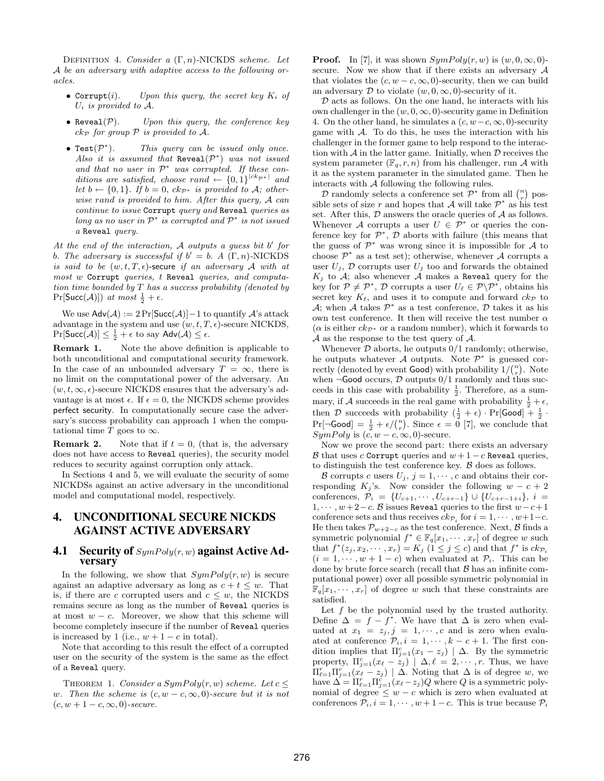DEFINITION 4. Consider  $a(\Gamma, n)$ -NICKDS scheme. Let A be an adversary with adaptive access to the following oracles.

- Corrupt(i). Upon this query, the secret key  $K_i$  of  $U_i$  is provided to  $\mathcal{A}$ .
- Reveal $(\mathcal{P})$ . Upon this query, the conference key  $ck_{\mathcal{P}}$  for group  $\mathcal P$  is provided to  $\mathcal A$ .
- Test $(\mathcal{P}^*$ ). This query can be issued only once. Also it is assumed that  $\text{Reveal}(\mathcal{P}^*)$  was not issued and that no user in  $\mathcal{P}^*$  was corrupted. If these conditions are satisfied, choose rand  $\leftarrow \{0,1\}^{|ck_{\mathcal{P}^*}|}$  and let  $b \leftarrow \{0, 1\}$ . If  $b = 0$ ,  $ck_{\mathcal{P}^*}$  is provided to A; otherwise rand is provided to him. After this query, A can continue to issue Corrupt query and Reveal queries as long as no user in  $\mathcal{P}^*$  is corrupted and  $\mathcal{P}^*$  is not issued a Reveal query.

At the end of the interaction,  $A$  outputs a guess bit  $b'$  for b. The adversary is successful if  $b' = b$ . A  $(\Gamma, n)$ -NICKDS is said to be  $(w, t, T, \epsilon)$ -secure if an adversary A with at most w Corrupt queries, t Reveal queries, and computation time bounded by  $T$  has a success probability (denoted by  $Pr[\text{Succ}(\mathcal{A})]$  at most  $\frac{1}{2} + \epsilon$ .

We use  $\mathsf{Adv}(\mathcal{A}) := 2 \Pr[\mathsf{Succ}(\mathcal{A})] - 1$  to quantify  $\mathcal{A}$ 's attack advantage in the system and use  $(w, t, T, \epsilon)$ -secure NICKDS,  $\Pr[\mathsf{Succ}(\mathcal{A})] \leq \frac{1}{2} + \epsilon$  to say  $\mathsf{Adv}(\mathcal{A}) \leq \epsilon$ .

Remark 1. Note the above definition is applicable to both unconditional and computational security framework. In the case of an unbounded adversary  $T = \infty$ , there is no limit on the computational power of the adversary. An  $(w, t, \infty, \epsilon)$ -secure NICKDS ensures that the adversary's advantage is at most  $\epsilon$ . If  $\epsilon = 0$ , the NICKDS scheme provides perfect security. In computationally secure case the adversary's success probability can approach 1 when the computational time T goes to  $\infty$ .

**Remark 2.** Note that if  $t = 0$ , (that is, the adversary does not have access to Reveal queries), the security model reduces to security against corruption only attack.

In Sections 4 and 5, we will evaluate the security of some NICKDSs against an active adversary in the unconditional model and computational model, respectively.

## 4. UNCONDITIONAL SECURE NICKDS AGAINST ACTIVE ADVERSARY

#### **4.1** Security of  $SymPoly(r, w)$  against Active Adversary

In the following, we show that  $SymPoly(r, w)$  is secure against an adaptive adversary as long as  $c + t \leq w$ . That is, if there are c corrupted users and  $c \leq w$ , the NICKDS remains secure as long as the number of Reveal queries is at most  $w - c$ . Moreover, we show that this scheme will become completely insecure if the number of Reveal queries is increased by 1 (i.e.,  $w + 1 - c$  in total).

Note that according to this result the effect of a corrupted user on the security of the system is the same as the effect of a Reveal query.

THEOREM 1. Consider a  $SymPoly(r, w)$  scheme. Let  $c \leq$ w. Then the scheme is  $(c, w - c, \infty, 0)$ -secure but it is not  $(c, w + 1 - c, \infty, 0)$ -secure.

**Proof.** In [7], it was shown  $SymPoly(r, w)$  is  $(w, 0, \infty, 0)$ secure. Now we show that if there exists an adversary A that violates the  $(c, w - c, \infty, 0)$ -security, then we can build an adversary  $\mathcal D$  to violate  $(w, 0, \infty, 0)$ -security of it.

 $D$  acts as follows. On the one hand, he interacts with his own challenger in the  $(w, 0, \infty, 0)$ -security game in Definition 4. On the other hand, he simulates a  $(c, w-c, \infty, 0)$ -security game with  $\mathcal{A}$ . To do this, he uses the interaction with his challenger in the former game to help respond to the interaction with  $A$  in the latter game. Initially, when  $D$  receives the system parameter  $(\mathbb{F}_q, r, n)$  from his challenger, run A with it as the system parameter in the simulated game. Then he interacts with A following the following rules.

teracts with A following the following rules.<br>
D randomly selects a conference set  $\mathcal{P}^*$  from all  $\binom{n}{r}$  $\log_{10}$ sible sets of size r and hopes that A will take  $\mathcal{P}^*$  as his test set. After this,  $D$  answers the oracle queries of  $A$  as follows. Whenever A corrupts a user  $U \in \mathcal{P}^*$  or queries the conference key for  $\mathcal{P}^*$ ,  $\mathcal D$  aborts with failure (this means that the guess of  $\mathcal{P}^*$  was wrong since it is impossible for A to choose  $\mathcal{P}^*$  as a test set); otherwise, whenever A corrupts a user  $U_i$ ,  $\mathcal D$  corrupts user  $U_i$  too and forwards the obtained  $K_j$  to  $A$ ; also whenever  $A$  makes a Reveal query for the key for  $\mathcal{P} \neq \mathcal{P}^*$ ,  $\mathcal{D}$  corrupts a user  $U_{\ell} \in \mathcal{P} \backslash \mathcal{P}^*$ , obtains his secret key  $K_{\ell}$ , and uses it to compute and forward  $ck_{\mathcal{P}}$  to A; when A takes  $\mathcal{P}^*$  as a test conference, D takes it as his own test conference. It then will receive the test number  $\alpha$ ( $\alpha$  is either  $ck_{\mathcal{P}^*}$  or a random number), which it forwards to  $\mathcal A$  as the response to the test query of  $\mathcal A$ .

Whenever  $D$  aborts, he outputs  $0/1$  randomly; otherwise, he outputs whatever A outputs. Note  $\mathcal{P}^*$  is guessed cor-<br>really (denoted by event Cood) with probability  $1/(n)$ . Note rectly (denoted by event **Good**) with probability  $1/{n \choose r}$ . Note when  $\neg$ **Good** occurs,  $\mathcal{D}$  outputs  $0/1$  randomly and thus succeeds in this case with probability  $\frac{1}{2}$ . Therefore, as a summary, if A succeeds in the real game with probability  $\frac{1}{2} + \epsilon$ , then D succeeds with probability  $(\frac{1}{2} + \epsilon) \cdot \Pr[\text{Good}] + \frac{1}{2}$ . Then *D* successive with probability  $(\frac{1}{2} + \epsilon) \cdot \text{F1}$  [Good]  $\pm \frac{1}{2}$ .<br>
Pr[¬Good] =  $\frac{1}{2} + \epsilon / \binom{n}{r}$ . Since  $\epsilon = 0$  [7], we conclude that  $SymPoly$  is  $(c, w - c, \infty, 0)$ -secure.

Now we prove the second part: there exists an adversary B that uses c Corrupt queries and  $w + 1 - c$  Reveal queries, to distinguish the test conference key. B does as follows.

B corrupts c users  $U_j$ ,  $j = 1, \dots, c$  and obtains their corresponding K<sub>j</sub>'s. Now consider the following  $w - c + 2$ conferences,  $\mathcal{P}_i = \{U_{c+1}, \cdots, U_{c+r-1}\} \cup \{U_{c+r-1+i}\}, i =$  $1, \cdots, w+2-c.$  B issues Reveal queries to the first  $w-c+1$ conference sets and thus receives  $ck_{\mathcal{P}_i}$  for  $i = 1, \dots, w+1-c$ . He then takes  $\mathcal{P}_{w+2-c}$  as the test conference. Next, B finds a symmetric polynomial  $f^* \in \mathbb{F}_q[x_1, \dots, x_r]$  of degree w such that  $f^*(z_j, x_2, \dots, x_r) = K_j$   $(1 \le j \le c)$  and that  $f^*$  is  $ck_{\mathcal{P}_i}$  $(i = 1, \dots, w + 1 - c)$  when evaluated at  $\mathcal{P}_i$ . This can be done by brute force search (recall that  $\beta$  has an infinite computational power) over all possible symmetric polynomial in  $\mathbb{F}_q[x_1,\dots,x_r]$  of degree w such that these constraints are satisfied.

Let  $f$  be the polynomial used by the trusted authority. Define  $\Delta = f - f^*$ . We have that  $\Delta$  is zero when evaluated at  $x_1 = z_j, j = 1, \cdots, c$  and is zero when evaluated at conference  $\mathcal{P}_i, i = 1, \cdots, k - c + 1$ . The first condition implies that  $\Pi_{j=1}^c(x_1-z_j) | \Delta$ . By the symmetric property,  $\Pi_{j=1}^c(x_\ell - z_j)$   $\Delta, \ell = 2, \cdots, r$ . Thus, we have  $\Pi_{\ell=1}^r \Pi_{j=1}^c(x_\ell-z_j) \mid \Delta$ . Noting that  $\Delta$  is of degree w, we have  $\Delta = \prod_{\ell=1}^r \prod_{j=1}^c (x_\ell - z_j) Q$  where Q is a symmetric polynomial of degree  $≤ w - c$  which is zero when evaluated at conferences  $\mathcal{P}_i$ ,  $i = 1, \dots, w + 1 - c$ . This is true because  $\mathcal{P}_i$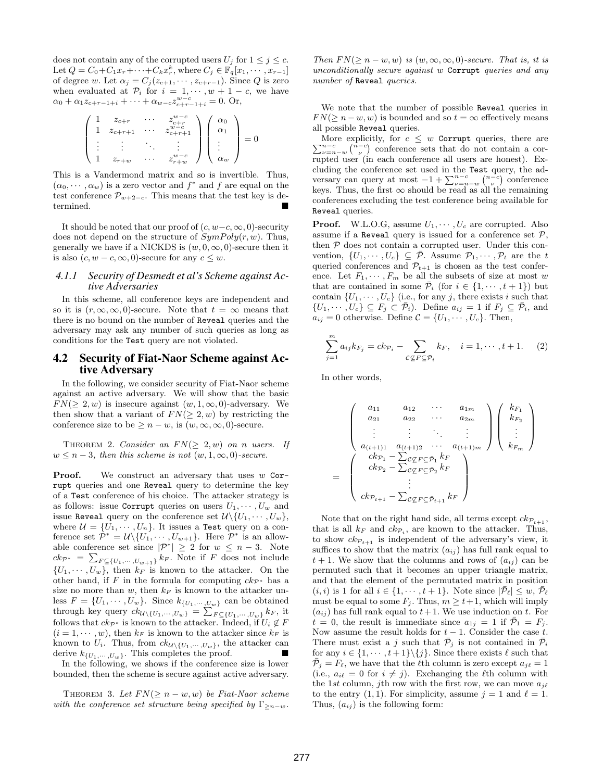does not contain any of the corrupted users  $U_j$  for  $1 \leq j \leq c$ . Let  $Q = C_0 + C_1 x_r + \cdots + C_k x_r^k$ , where  $C_j \in \mathbb{F}_q[x_1, \cdots, x_{r-1}]$ of degree w. Let  $\alpha_j = C_j(z_{c+1}, \dots, z_{c+r-1})$ . Since Q is zero when evaluated at  $\mathcal{P}_i$  for  $i = 1, \dots, w + 1 - c$ , we have  $\alpha_0 + \alpha_1 z_{c+r-1+i} + \cdots + \alpha_{w-c} z_{c+r-1+i}^{w-c} = 0.$  Or,

$$
\left(\begin{array}{cccc} 1 & z_{c+r} & \cdots & z_{c+r}^{w-c} \\ 1 & z_{c+r+1} & \cdots & z_{c+r+1}^{w-c} \\ \vdots & \vdots & \ddots & \vdots \\ 1 & z_{r+w} & \cdots & z_{r+w}^{w-c} \end{array}\right) \left(\begin{array}{c} \alpha_0 \\ \alpha_1 \\ \vdots \\ \alpha_w \end{array}\right) = 0
$$

This is a Vandermond matrix and so is invertible. Thus,  $(\alpha_0, \dots, \alpha_w)$  is a zero vector and  $f^*$  and  $f$  are equal on the test conference  $\mathcal{P}_{w+2-c}$ . This means that the test key is determined.

It should be noted that our proof of  $(c, w-c, \infty, 0)$ -security does not depend on the structure of  $SymPoly(r, w)$ . Thus, generally we have if a NICKDS is  $(w, 0, \infty, 0)$ -secure then it is also  $(c, w - c, \infty, 0)$ -secure for any  $c \leq w$ .

#### *4.1.1 Security of Desmedt et al's Scheme against Active Adversaries*

In this scheme, all conference keys are independent and so it is  $(r, \infty, \infty, 0)$ -secure. Note that  $t = \infty$  means that there is no bound on the number of Reveal queries and the adversary may ask any number of such queries as long as conditions for the Test query are not violated.

#### 4.2 Security of Fiat-Naor Scheme against Active Adversary

In the following, we consider security of Fiat-Naor scheme against an active adversary. We will show that the basic  $FN(> 2, w)$  is insecure against  $(w, 1, \infty, 0)$ -adversary. We then show that a variant of  $FN(\geq 2, w)$  by restricting the conference size to be  $\geq n - w$ , is  $(w, \infty, \infty, 0)$ -secure.

THEOREM 2. Consider an  $FN(\geq 2, w)$  on n users. If  $w \leq n-3$ , then this scheme is not  $(w, 1, \infty, 0)$ -secure.

**Proof.** We construct an adversary that uses  $w$  Corrupt queries and one Reveal query to determine the key of a Test conference of his choice. The attacker strategy is as follows: issue Corrupt queries on users  $U_1, \cdots, U_w$  and issue Reveal query on the conference set  $\mathcal{U}\setminus\{U_1,\cdots,U_w\},\$ where  $\mathcal{U} = \{U_1, \cdots, U_n\}$ . It issues a Test query on a conference set  $\mathcal{P}^* = \mathcal{U} \backslash \{U_1, \cdots, U_{w+1}\}.$  Here  $\mathcal{P}^*$  is an allowable conference set since  $|\mathcal{P}^*| \geq 2$  for  $w \leq n-3$ . Note  $ck_{\mathcal{P}^*} = \sum_{F \subseteq \{U_1, \dots, U_{w+1}\}} k_F$ . Note if F does not include  $\{U_1, \dots, U_w\}$ , then  $k_F$  is known to the attacker. On the other hand, if F in the formula for computing  $ck_{\mathcal{P}^*}$  has a size no more than w, then  $k_F$  is known to the attacker unless  $F = \{U_1, \dots, U_w\}$ . Since  $k_{\{U_1, \dots, U_w\}}$  can be obtained through key query  $ck_{\mathcal{U}\setminus\{U_1,\cdots,U_w\}}$ . Since  $k_{\{U_1,\cdots,U_w\}} = \sum$  $F \subseteq \{U_1, \cdots, U_w\}$   $k_F$ , it follows that  $ck_{\mathcal{P}^*}$  is known to the attacker. Indeed, if  $U_i \notin F$  $(i = 1, \dots, w)$ , then  $k_F$  is known to the attacker since  $k_F$  is known to  $U_i$ . Thus, from  $ck_{\mathcal{U}\setminus\{U_1,\cdots,U_w\}}$ , the attacker can derive  $k_{\mathcal{U}_i}$ ,  $U_i$ . This completes the proof. derive  $k_{\{U_1,\dots,U_w\}}$ . This completes the proof.

In the following, we shows if the conference size is lower bounded, then the scheme is secure against active adversary.

THEOREM 3. Let  $FN(\geq n-w, w)$  be Fiat-Naor scheme with the conference set structure being specified by  $\Gamma_{\geq n-w}$ .

Then  $FN(\geq n-w, w)$  is  $(w, \infty, \infty, 0)$ -secure. That is, it is unconditionally secure against w Corrupt queries and any number of Reveal queries.

We note that the number of possible Reveal queries in  $FN(> n - w, w)$  is bounded and so  $t = \infty$  effectively means all possible Reveal queries.

More explicitly, for  $c \leq w$  corrupt queries, there are  $\sum_{\nu=n-w}^{n-c} \binom{n-c}{\nu}$  conference sets that do not contain a cor-More explicitly, for  $c \leq w$  Corrupt queries, there are rupted user (in each conference all users are honest). Excluding the conference set used in the Test query, the adcluding the conference set used in the 1est query at most  $-1 + \sum_{\nu=n-w}^{n-c} {n-c \choose \nu}$ uery, tne ad-<br>) conference keys. Thus, the first  $\infty$  should be read as all the remaining conferences excluding the test conference being available for Reveal queries.

**Proof.** W.L.O.G, assume  $U_1, \dots, U_c$  are corrupted. Also assume if a Reveal query is issued for a conference set  $P$ , then  $P$  does not contain a corrupted user. Under this convention,  $\{U_1, \dots, U_c\} \subseteq \overline{\mathcal{P}}$ . Assume  $\mathcal{P}_1, \dots, \mathcal{P}_t$  are the t queried conferences and  $\mathcal{P}_{t+1}$  is chosen as the test conference. Let  $F_1, \dots, F_m$  be all the subsets of size at most w that are contained in some  $\overline{\mathcal{P}}_i$  (for  $i \in \{1, \dots, t+1\}$ ) but contain  $\{U_1, \dots, U_c\}$  (i.e., for any j, there exists i such that  $\{U_1, \cdots, U_c\} \subseteq F_j \subset \overline{\mathcal{P}}_i$ . Define  $a_{ij} = 1$  if  $F_j \subseteq \overline{\mathcal{P}}_i$ , and  $a_{ij} = 0$  otherwise. Define  $C = \{U_1, \cdots, U_c\}$ . Then,

$$
\sum_{j=1}^{m} a_{ij} k_{F_j} = c k_{\mathcal{P}_i} - \sum_{\mathcal{C} \subseteq F \subseteq \bar{\mathcal{P}}_i} k_F, \quad i = 1, \cdots, t+1.
$$
 (2)

In other words,

$$
= \begin{pmatrix} a_{11} & a_{12} & \cdots & a_{1m} \\ a_{21} & a_{22} & \cdots & a_{2m} \\ \vdots & \vdots & \ddots & \vdots \\ a_{(t+1)1} & a_{(t+1)2} & \cdots & a_{(t+1)m} \\ c k p_1 - \sum_{\mathcal{C}} \mathcal{C} F \subseteq \bar{p}_1 k F \\ c k p_2 - \sum_{\mathcal{C}} \mathcal{C} F \subseteq \bar{p}_2 k F \\ \vdots & \vdots \\ c k p_{t+1} - \sum_{\mathcal{C}} \mathcal{C} F \subseteq \bar{p}_{t+1} k F \end{pmatrix} \begin{pmatrix} k_{F_1} \\ k_{F_2} \\ \vdots \\ k_{F_m} \end{pmatrix}
$$

Note that on the right hand side, all terms except  $ck_{\mathcal{P}_{t+1}}$ , that is all  $k_F$  and  $ck_{\mathcal{P}_i}$ , are known to the attacker. Thus, to show  $ck_{\mathcal{P}_{t+1}}$  is independent of the adversary's view, it suffices to show that the matrix  $(a_{ij})$  has full rank equal to  $t + 1$ . We show that the columns and rows of  $(a_{ij})$  can be permuted such that it becomes an upper triangle matrix, and that the element of the permutated matrix in position  $(i, i)$  is 1 for all  $i \in \{1, \dots, t+1\}$ . Note since  $|\overline{\mathcal{P}}_{\ell}| \leq w, \overline{\mathcal{P}}_{\ell}$ must be equal to some  $F_i$ . Thus,  $m \geq t+1$ , which will imply  $(a_{ij})$  has full rank equal to  $t+1$ . We use induction on t. For  $t = 0$ , the result is immediate since  $a_{1j} = 1$  if  $\bar{\mathcal{P}}_1 = F_j$ . Now assume the result holds for  $t - 1$ . Consider the case t. There must exist a j such that  $\mathcal{P}_j$  is not contained in  $\mathcal{P}_i$ for any  $i \in \{1, \dots, t+1\} \backslash \{j\}$ . Since there exists  $\ell$  such that  $P_j = F_\ell$ , we have that the  $\ell$ th column is zero except  $a_{j\ell} = 1$ (i.e.,  $a_{i\ell} = 0$  for  $i \neq j$ ). Exchanging the  $\ell$ th column with the 1st column, jth row with the first row, we can move  $a_{j\ell}$ to the entry  $(1, 1)$ . For simplicity, assume  $j = 1$  and  $\ell = 1$ . Thus,  $(a_{ij})$  is the following form: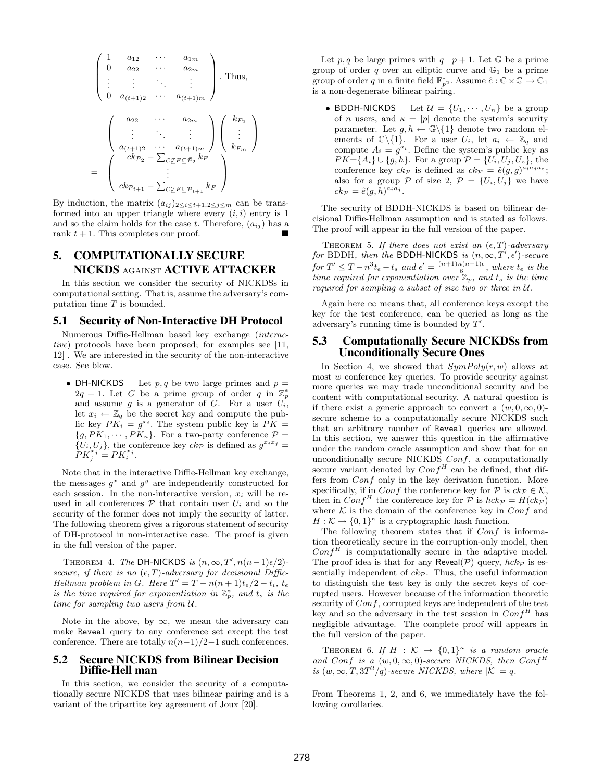$$
\begin{pmatrix}\n1 & a_{12} & \cdots & a_{1m} \\
0 & a_{22} & \cdots & a_{2m} \\
\vdots & \vdots & \ddots & \vdots \\
0 & a_{(t+1)2} & \cdots & a_{(t+1)m}\n\end{pmatrix}.
$$
 Thus,  

$$
\begin{pmatrix}\na_{22} & \cdots & a_{2m} \\
\vdots & \ddots & \vdots \\
a_{(t+1)2} & \cdots & a_{(t+1)m} \\
\vdots & \ddots & \vdots \\
a_{(t+1)2} & \cdots & a_{(t+1)m} \\
\vdots & \vdots & \ddots \\
c k_{p_{t+1}} - \sum_{\mathcal{C}} \mathcal{L}_{F} \mathcal{L}_{p_{t+1}} k_{F}\n\end{pmatrix}.
$$

By induction, the matrix  $(a_{ij})_{2\leq i\leq t+1,2\leq j\leq m}$  can be transformed into an upper triangle where every  $(i, i)$  entry is 1 and so the claim holds for the case t. Therefore,  $(a_{ij})$  has a rank  $t + 1$ . This completes our proof.

## 5. COMPUTATIONALLY SECURE NICKDS AGAINST ACTIVE ATTACKER

In this section we consider the security of NICKDSs in computational setting. That is, assume the adversary's computation time  $T$  is bounded.

#### 5.1 Security of Non-Interactive DH Protocol

Numerous Diffie-Hellman based key exchange (interactive) protocols have been proposed; for examples see [11, 12] . We are interested in the security of the non-interactive case. See blow.

• DH-NICKDS Let  $p, q$  be two large primes and  $p =$  $2q + 1$ . Let G be a prime group of order q in  $\mathbb{Z}_p^*$ and assume  $g$  is a generator of  $G$ . For a user  $U_i$ , let  $x_i \leftarrow \mathbb{Z}_q$  be the secret key and compute the public key  $PK_i = g^{x_i}$ . The system public key is  $PK =$  ${g, PK_1, \cdots, PK_n}$ . For a two-party conference  $\mathcal{P} =$  $\{U_i, U_j\}$ , the conference key  $ck_{\mathcal{P}}$  is defined as  $g^{x_ix_j} =$  $PK_j^{x_j}=PK_i^{x_j}$ .

Note that in the interactive Diffie-Hellman key exchange, the messages  $g^x$  and  $g^y$  are independently constructed for each session. In the non-interactive version,  $x_i$  will be reused in all conferences  $P$  that contain user  $U_i$  and so the security of the former does not imply the security of latter. The following theorem gives a rigorous statement of security of DH-protocol in non-interactive case. The proof is given in the full version of the paper.

THEOREM 4. The DH-NICKDS is  $(n, \infty, T', n(n-1)\epsilon/2)$ secure, if there is no  $(\epsilon, T)$ -adversary for decisional Diffie-Hellman problem in G. Here  $T' = T - n(n+1)t_e/2 - t_i$ , te is the time required for exponentiation in  $\mathbb{Z}_p^*$ , and  $t_s$  is the time for sampling two users from U.

Note in the above, by  $\infty$ , we mean the adversary can make Reveal query to any conference set except the test conference. There are totally  $n(n-1)/2-1$  such conferences.

#### 5.2 Secure NICKDS from Bilinear Decision Diffie-Hell man

In this section, we consider the security of a computationally secure NICKDS that uses bilinear pairing and is a variant of the tripartite key agreement of Joux [20].

Let p, q be large primes with  $q | p + 1$ . Let G be a prime group of order q over an elliptic curve and  $\mathbb{G}_1$  be a prime group of order q in a finite field  $\mathbb{F}_{p^2}^*$ . Assume  $\hat{e} : \mathbb{G} \times \mathbb{G} \to \mathbb{G}_1$ is a non-degenerate bilinear pairing.

• BDDH-NICKDS Let  $\mathcal{U} = \{U_1, \dots, U_n\}$  be a group of *n* users, and  $\kappa = |p|$  denote the system's security parameter. Let  $g, h \leftarrow \mathbb{G}\backslash\{1\}$  denote two random elements of  $\mathbb{G}\backslash\{1\}$ . For a user  $U_i$ , let  $a_i \leftarrow \mathbb{Z}_q$  and compute  $A_i = g^{a_i}$ . Define the system's public key as  $PK={A_i} \cup {g, h}$ . For a group  $\mathcal{P}={U_i, U_j, U_z}$ , the conference key  $ck_{\mathcal{P}}$  is defined as  $ck_{\mathcal{P}} = \hat{e}(g, g)^{a_i a_j a_z};$ also for a group P of size 2,  $\mathcal{P} = \{U_i, U_j\}$  we have  $ck_{\mathcal{P}} = \hat{e}(g,h)^{a_i a_j}.$ 

The security of BDDH-NICKDS is based on bilinear decisional Diffie-Hellman assumption and is stated as follows. The proof will appear in the full version of the paper.

THEOREM 5. If there does not exist an  $(\epsilon, T)$ -adversary for BDDH, then the BDDH-NICKDS is  $(n, \infty, T', \epsilon')$ -secure for  $T' \leq T - n^3 t_e - t_s$  and  $\epsilon' = \frac{(n+1)n(n-1)\epsilon}{6}$ , where  $t_e$  is the time required for exponentiation over  $\mathbb{Z}_p$ , and  $t_s$  is the time required for sampling a subset of size two or three in U.

Again here  $\infty$  means that, all conference keys except the key for the test conference, can be queried as long as the adversary's running time is bounded by  $T'$ .

#### 5.3 Computationally Secure NICKDSs from Unconditionally Secure Ones

In Section 4, we showed that  $SymPoly(r, w)$  allows at most w conference key queries. To provide security against more queries we may trade unconditional security and be content with computational security. A natural question is if there exist a generic approach to convert a  $(w, 0, \infty, 0)$ secure scheme to a computationally secure NICKDS such that an arbitrary number of Reveal queries are allowed. In this section, we answer this question in the affirmative under the random oracle assumption and show that for an unconditionally secure NICKDS Conf, a computationally secure variant denoted by  $Conf<sup>H</sup>$  can be defined, that differs from Conf only in the key derivation function. More specifically, if in Conf the conference key for P is  $ck_{\mathcal{P}} \in \mathcal{K}$ , then in  $Conf^H$  the conference key for P is  $hck_{\mathcal{P}} = H(ck_{\mathcal{P}})$ where  $K$  is the domain of the conference key in  $Conf$  and  $H: \mathcal{K} \to \{0,1\}^{\kappa}$  is a cryptographic hash function.

The following theorem states that if  $Conf$  is information theoretically secure in the corruption-only model, then  $Conf^H$  is computationally secure in the adaptive model. The proof idea is that for any Reveal $(\mathcal{P})$  query,  $hck_{\mathcal{P}}$  is essentially independent of  $ck_{\mathcal{P}}$ . Thus, the useful information to distinguish the test key is only the secret keys of corrupted users. However because of the information theoretic security of  $Conf$ , corrupted keys are independent of the test key and so the adversary in the test session in  $Conf^H$  has negligible advantage. The complete proof will appears in the full version of the paper.

THEOREM 6. If  $H : \mathcal{K} \to \{0,1\}^{\kappa}$  is a random oracle and Conf is a  $(w, 0, \infty, 0)$ -secure NICKDS, then Conf<sup>H</sup> is  $(w, \infty, T, 3T^2/q)$ -secure NICKDS, where  $|\mathcal{K}| = q$ .

From Theorems 1, 2, and 6, we immediately have the following corollaries.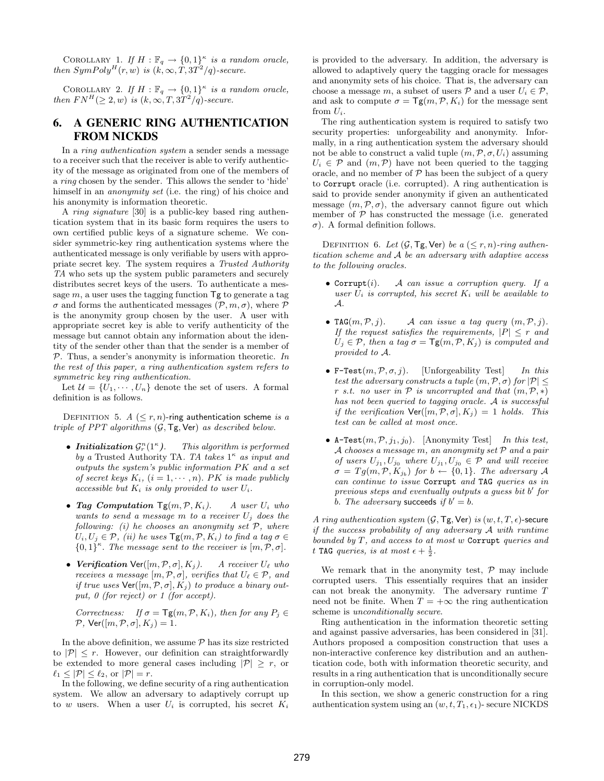COROLLARY 1. If  $H : \mathbb{F}_q \to \{0,1\}^\kappa$  is a random oracle, then  $SymPoly^{H}(r, w)$  is  $(k, \infty, T, 3T^{2}/q)$ -secure.

COROLLARY 2. If  $H : \mathbb{F}_q \to \{0,1\}^\kappa$  is a random oracle, then  $FN^H(\geq 2, w)$  is  $(k, \infty, T, 3T^2/q)$ -secure.

## 6. A GENERIC RING AUTHENTICATION FROM NICKDS

In a ring authentication system a sender sends a message to a receiver such that the receiver is able to verify authenticity of the message as originated from one of the members of a ring chosen by the sender. This allows the sender to 'hide' himself in an *anonymity set* (i.e. the ring) of his choice and his anonymity is information theoretic.

A ring signature [30] is a public-key based ring authentication system that in its basic form requires the users to own certified public keys of a signature scheme. We consider symmetric-key ring authentication systems where the authenticated message is only verifiable by users with appropriate secret key. The system requires a Trusted Authority TA who sets up the system public parameters and securely distributes secret keys of the users. To authenticate a message  $m$ , a user uses the tagging function  $\mathsf{T}$ g to generate a tag  $\sigma$  and forms the authenticated messages  $(\mathcal{P}, m, \sigma)$ , where  $\mathcal P$ is the anonymity group chosen by the user. A user with appropriate secret key is able to verify authenticity of the message but cannot obtain any information about the identity of the sender other than that the sender is a member of  $P$ . Thus, a sender's anonymity is information theoretic. In the rest of this paper, a ring authentication system refers to symmetric key ring authentication.

Let  $\mathcal{U} = \{U_1, \dots, U_n\}$  denote the set of users. A formal definition is as follows.

DEFINITION 5.  $A \leq r, n$ -ring authentication scheme is a triple of PPT algorithms (G, Tg, Ver) as described below.

- Initialization  $\mathcal{G}_r^n(1^{\kappa})$ . This algorithm is performed by a Trusted Authority TA. TA takes  $1^{\kappa}$  as input and outputs the system's public information PK and a set of secret keys  $K_i$ ,  $(i = 1, \dots, n)$ . PK is made publicly accessible but  $K_i$  is only provided to user  $U_i$ .
- Tag Computation  $Tg(m, P, K_i)$ . A user  $U_i$  who wants to send a message m to a receiver  $U_j$  does the following: (i) he chooses an anonymity set  $P$ , where  $U_i, U_j \in \mathcal{P}$ , (ii) he uses  $\mathsf{Tg}(m, \mathcal{P}, K_i)$  to find a tag  $\sigma \in$  ${0,1}^{\kappa}$ . The message sent to the receiver is  $[m, \mathcal{P}, \sigma]$ .
- Verification  $\text{Ver}([m, P, \sigma], K_i)$ . A receiver  $U_{\ell}$  who receives a message  $[m, \mathcal{P}, \sigma]$ , verifies that  $U_{\ell} \in \mathcal{P}$ , and if true uses  $\textsf{Ver}([m,\mathcal{P},\sigma], K_i)$  to produce a binary output, 0 (for reject) or 1 (for accept).

Correctness: If  $\sigma = \mathsf{Tg}(m, \mathcal{P}, K_i)$ , then for any  $P_j \in$  $\mathcal{P}, \text{Ver}([m, \mathcal{P}, \sigma], K_i) = 1.$ 

In the above definition, we assume  $P$  has its size restricted to  $|\mathcal{P}| \leq r$ . However, our definition can straightforwardly be extended to more general cases including  $|\mathcal{P}| \geq r$ , or  $\ell_1 \leq |\mathcal{P}| \leq \ell_2$ , or  $|\mathcal{P}| = r$ .

In the following, we define security of a ring authentication system. We allow an adversary to adaptively corrupt up to  $w$  users. When a user  $U_i$  is corrupted, his secret  $K_i$ 

is provided to the adversary. In addition, the adversary is allowed to adaptively query the tagging oracle for messages and anonymity sets of his choice. That is, the adversary can choose a message m, a subset of users  $P$  and a user  $U_i \in \mathcal{P}$ , and ask to compute  $\sigma = \mathsf{Tg}(m, \mathcal{P}, K_i)$  for the message sent from  $U_i$ .

The ring authentication system is required to satisfy two security properties: unforgeability and anonymity. Informally, in a ring authentication system the adversary should not be able to construct a valid tuple  $(m, \mathcal{P}, \sigma, U_i)$  assuming  $U_i \in \mathcal{P}$  and  $(m, \mathcal{P})$  have not been queried to the tagging oracle, and no member of  $P$  has been the subject of a query to Corrupt oracle (i.e. corrupted). A ring authentication is said to provide sender anonymity if given an authenticated message  $(m, \mathcal{P}, \sigma)$ , the adversary cannot figure out which member of  $P$  has constructed the message (i.e. generated σ). A formal definition follows.

DEFINITION 6. Let  $(G, \mathsf{Tg}, \mathsf{Ver})$  be a  $(\leq r, n)$ -ring authentication scheme and A be an adversary with adaptive access to the following oracles.

- Corrupt $(i)$ . A can issue a corruption query. If a user  $U_i$  is corrupted, his secret  $K_i$  will be available to A.
- TAG $(m, \mathcal{P}, j)$ . A can issue a tag query  $(m, \mathcal{P}, j)$ . If the request satisfies the requirements,  $|P| \leq r$  and  $U_i \in \mathcal{P}$ , then a tag  $\sigma = \mathsf{Tg}(m, \mathcal{P}, K_j)$  is computed and provided to A.
- F-Test $(m, \mathcal{P}, \sigma, j)$ . [Unforgeability Test] In this test the adversary constructs a tuple  $(m, \mathcal{P}, \sigma)$  for  $|\mathcal{P}| \leq$ r s.t. no user in  $P$  is uncorrupted and that  $(m, P, *)$ has not been queried to tagging oracle. A is successful if the verification  $\text{Ver}([m, \mathcal{P}, \sigma], K_j) = 1$  holds. This test can be called at most once.
- A-Test $(m, \mathcal{P}, j_1, j_0)$ . [Anonymity Test] In this test, A chooses a message  $m$ , an anonymity set  $P$  and a pair of users  $U_{j_1}, U_{j_0}$  where  $U_{j_1}, U_{j_0} \in \mathcal{P}$  and will receive  $\sigma = Tg(m, \mathcal{P}, K_{j_b})$  for  $b \leftarrow \{0, 1\}$ . The adversary A can continue to issue Corrupt and TAG queries as in previous steps and eventually outputs a guess bit b' for b. The adversary succeeds if  $b' = b$ .

A ring authentication system  $(\mathcal{G}, \mathsf{Tg}, \mathsf{Ver})$  is  $(w, t, T, \epsilon)$ -secure if the success probability of any adversary A with runtime bounded by  $T$ , and access to at most  $w$  Corrupt queries and t TAG queries, is at most  $\epsilon + \frac{1}{2}$ .

We remark that in the anonymity test,  $P$  may include corrupted users. This essentially requires that an insider can not break the anonymity. The adversary runtime T need not be finite. When  $T = +\infty$  the ring authentication scheme is unconditionally secure.

Ring authentication in the information theoretic setting and against passive adversaries, has been considered in [31]. Authors proposed a composition construction that uses a non-interactive conference key distribution and an authentication code, both with information theoretic security, and results in a ring authentication that is unconditionally secure in corruption-only model.

In this section, we show a generic construction for a ring authentication system using an  $(w, t, T_1, \epsilon_1)$ - secure NICKDS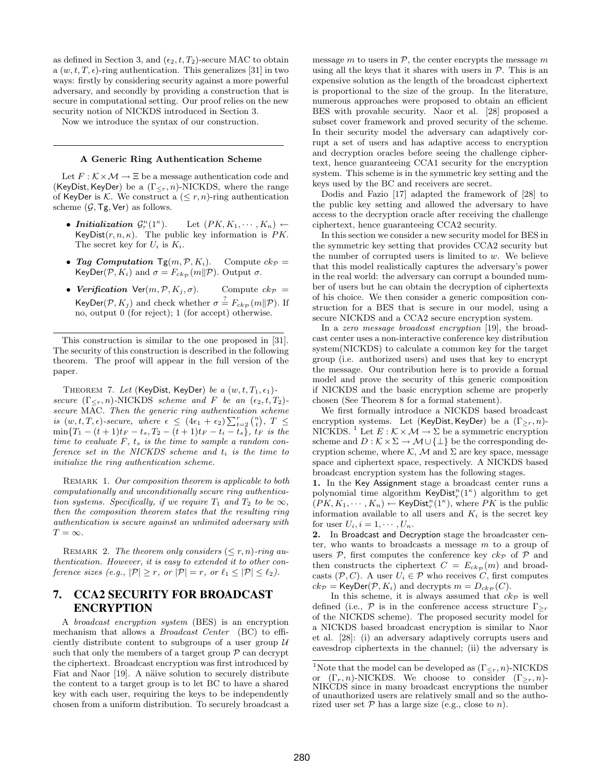as defined in Section 3, and  $(\epsilon_2, t, T_2)$ -secure MAC to obtain a  $(w, t, T, \epsilon)$ -ring authentication. This generalizes [31] in two ways: firstly by considering security against a more powerful adversary, and secondly by providing a construction that is secure in computational setting. Our proof relies on the new security notion of NICKDS introduced in Section 3.

Now we introduce the syntax of our construction.

#### A Generic Ring Authentication Scheme

Let  $F : \mathcal{K} \times \mathcal{M} \to \Xi$  be a message authentication code and (KeyDist, KeyDer) be a  $(\Gamma_{\leq r}, n)$ -NICKDS, where the range of KeyDer is K. We construct a  $(\leq r, n)$ -ring authentication scheme  $(\mathcal{G}, \mathsf{Tg}, \mathsf{Ver})$  as follows.

- Initialization  $\mathcal{G}_r^n(1^{\kappa})$ Let  $(PK, K_1, \cdots, K_n) \leftarrow$ KeyDist $(r, n, \kappa)$ . The public key information is PK. The secret key for  $U_i$  is  $K_i$ .
- Tag Computation  $\mathsf{Tg}(m, \mathcal{P}, K_i)$ . Compute  $ck_{\mathcal{P}} =$ KeyDer( $\mathcal{P}, K_i$ ) and  $\sigma = F_{ck_{\mathcal{P}}} (m||\mathcal{P})$ . Output  $\sigma$ .
- Verification Ver $(m, \mathcal{P}, K_j, \sigma)$ . Compute  $ck_{\mathcal{P}} =$ KeyDer( $\mathcal{P}, K_j$ ) and check whether  $\sigma \stackrel{?}{=} F_{ck_{\mathcal{P}}}(m||\mathcal{P})$ . If no, output 0 (for reject); 1 (for accept) otherwise.

This construction is similar to the one proposed in [31]. The security of this construction is described in the following theorem. The proof will appear in the full version of the paper.

THEOREM 7. Let (KeyDist, KeyDer) be a  $(w, t, T_1, \epsilon_1)$ secure  $(\Gamma_{\leq r}, n)$ -NICKDS scheme and F be an  $(\epsilon_2, t, T_2)$ secure MAC. Then the generic ring authentication scheme secure MAC. Then the generic ring authentication scheme<br>is  $(w, t, T, \epsilon)$ -secure, where  $\epsilon \leq (4\epsilon_1 + \epsilon_2) \sum_{t=2}^{r} {n \choose t}, T \leq$  $\min\{T_1-(t+1)t_F-t_s,T_2-(t+1)t_F-t_i-t_s\},\,t_F\,\,\hbox{is the}$ time to evaluate  $F$ ,  $t_s$  is the time to sample a random conference set in the NICKDS scheme and  $t_i$  is the time to initialize the ring authentication scheme.

REMARK 1. Our composition theorem is applicable to both computationally and unconditionally secure ring authentication systems. Specifically, if we require  $T_1$  and  $T_2$  to be  $\infty$ , then the composition theorem states that the resulting ring authentication is secure against an unlimited adversary with  $T = \infty$ .

REMARK 2. The theorem only considers  $(\leq r, n)$ -ring authentication. However, it is easy to extended it to other conference sizes (e.g.,  $|\mathcal{P}| \geq r$ , or  $|\mathcal{P}| = r$ , or  $\ell_1 \leq |\mathcal{P}| \leq \ell_2$ ).

## 7. CCA2 SECURITY FOR BROADCAST ENCRYPTION

A broadcast encryption system (BES) is an encryption mechanism that allows a *Broadcast Center* (BC) to efficiently distribute content to subgroups of a user group  $\mathcal U$ such that only the members of a target group  $P$  can decrypt the ciphertext. Broadcast encryption was first introduced by Fiat and Naor [19]. A näive solution to securely distribute the content to a target group is to let BC to have a shared key with each user, requiring the keys to be independently chosen from a uniform distribution. To securely broadcast a message m to users in  $P$ , the center encrypts the message m using all the keys that it shares with users in  $P$ . This is an expensive solution as the length of the broadcast ciphertext is proportional to the size of the group. In the literature, numerous approaches were proposed to obtain an efficient BES with provable security. Naor et al. [28] proposed a subset cover framework and proved security of the scheme. In their security model the adversary can adaptively corrupt a set of users and has adaptive access to encryption and decryption oracles before seeing the challenge ciphertext, hence guaranteeing CCA1 security for the encryption system. This scheme is in the symmetric key setting and the keys used by the BC and receivers are secret.

Dodis and Fazio [17] adapted the framework of [28] to the public key setting and allowed the adversary to have access to the decryption oracle after receiving the challenge ciphertext, hence guaranteeing CCA2 security.

In this section we consider a new security model for BES in the symmetric key setting that provides CCA2 security but the number of corrupted users is limited to  $w$ . We believe that this model realistically captures the adversary's power in the real world: the adversary can corrupt a bounded number of users but he can obtain the decryption of ciphertexts of his choice. We then consider a generic composition construction for a BES that is secure in our model, using a secure NICKDS and a CCA2 secure encryption system.

In a zero message broadcast encryption [19], the broadcast center uses a non-interactive conference key distribution system(NICKDS) to calculate a common key for the target group (i.e. authorized users) and uses that key to encrypt the message. Our contribution here is to provide a formal model and prove the security of this generic composition if NICKDS and the basic encryption scheme are properly chosen (See Theorem 8 for a formal statement).

We first formally introduce a NICKDS based broadcast encryption systems. Let (KeyDist, KeyDer) be a  $(\Gamma_{\geq r}, n)$ -NICKDS. <sup>1</sup> Let  $E : \mathcal{K} \times \mathcal{M} \to \Sigma$  be a symmetric encryption scheme and  $D : \mathcal{K} \times \Sigma \to \mathcal{M} \cup \{\perp\}$  be the corresponding decryption scheme, where K, M and  $\Sigma$  are key space, message space and ciphertext space, respectively. A NICKDS based broadcast encryption system has the following stages.

1. In the Key Assignment stage a broadcast center runs a polynomial time algorithm  $KeyDist_r^n(1^{\kappa})$  algorithm to get  $(PK, K_1, \dots, K_n) \leftarrow \text{KeyDist}_r^n(1^\kappa)$ , where  $PK$  is the public information available to all users and  $K_i$  is the secret key for user  $U_i$ ,  $i = 1, \dots, U_n$ .

2. In Broadcast and Decryption stage the broadcaster center, who wants to broadcasts a message m to a group of users  $P$ , first computes the conference key  $ck_{\mathcal{P}}$  of  $P$  and then constructs the ciphertext  $C = E_{ckp}(m)$  and broadcasts  $(\mathcal{P}, C)$ . A user  $U_i \in \mathcal{P}$  who receives C, first computes  $ck_{\mathcal{P}} = \text{KeyDer}(\mathcal{P}, K_i)$  and decrypts  $m = D_{ck_{\mathcal{P}}}(C)$ .

In this scheme, it is always assumed that  $ck_{\mathcal{P}}$  is well defined (i.e.,  $\mathcal P$  is in the conference access structure  $\Gamma_{\geq r}$ of the NICKDS scheme). The proposed security model for a NICKDS based broadcast encryption is similar to Naor et al. [28]: (i) an adversary adaptively corrupts users and eavesdrop ciphertexts in the channel; (ii) the adversary is

<sup>&</sup>lt;sup>1</sup>Note that the model can be developed as  $(\Gamma_{\leq r}, n)$ -NICKDS or  $(\Gamma_r, n)$ -NICKDS. We choose to consider  $(\Gamma_{\geq r}, n)$ -NIKCDS since in many broadcast encryptions the number of unauthorized users are relatively small and so the authorized user set  $P$  has a large size (e.g., close to n).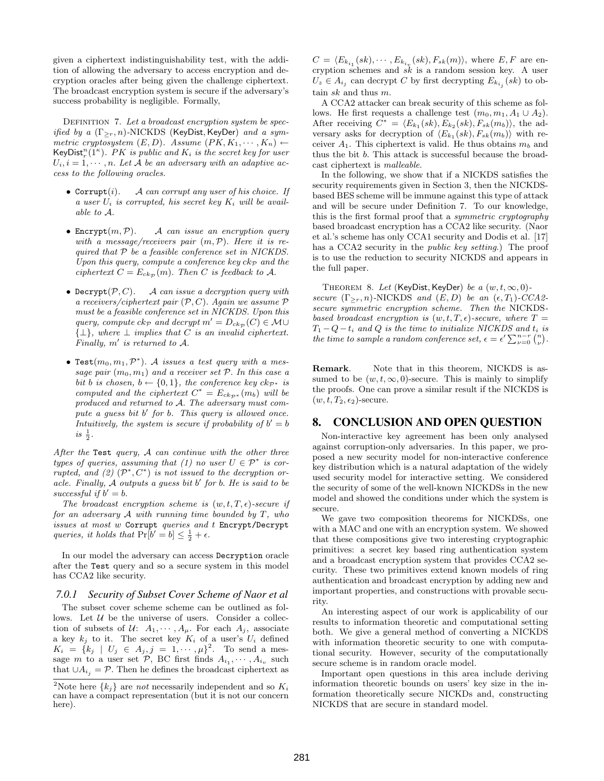given a ciphertext indistinguishability test, with the addition of allowing the adversary to access encryption and decryption oracles after being given the challenge ciphertext. The broadcast encryption system is secure if the adversary's success probability is negligible. Formally,

DEFINITION 7. Let a broadcast encryption system be specified by a  $(\Gamma_{\geq r}, n)$ -NICKDS (KeyDist, KeyDer) and a symmetric cryptosystem  $(E, D)$ . Assume  $(PK, K_1, \dots, K_n)$   $\leftarrow$ KeyDist<sup>n</sup><sub>r</sub> $(1^{\kappa})$ . PK is public and  $K_i$  is the secret key for user  $U_i, i = 1, \dots, n$ . Let A be an adversary with an adaptive access to the following oracles.

- Corrupt $(i)$ . A can corrupt any user of his choice. If a user  $U_i$  is corrupted, his secret key  $K_i$  will be available to A.
- Encrypt $(m, P)$ . A can issue an encryption query with a message/receivers pair  $(m, \mathcal{P})$ . Here it is required that P be a feasible conference set in NICKDS. Upon this query, compute a conference key  $ck_{\mathcal{P}}$  and the ciphertext  $C = E_{ck_{\mathcal{D}}}(m)$ . Then C is feedback to A.
- Decrypt( $P, C$ ). A can issue a decryption query with a receivers/ciphertext pair  $(\mathcal{P}, C)$ . Again we assume  $\mathcal P$ must be a feasible conference set in NICKDS. Upon this query, compute  $ck_{\mathcal{P}}$  and decrypt  $m' = D_{ck_{\mathcal{P}}}(C) \in \mathcal{M} \cup$  $\{\perp\}$ , where  $\perp$  implies that C is an invalid ciphertext. Finally,  $m'$  is returned to  $A$ .
- Test $(m_0, m_1, \mathcal{P}^*)$ . A issues a test query with a message pair  $(m_0, m_1)$  and a receiver set  $P$ . In this case a bit b is chosen,  $b \leftarrow \{0, 1\}$ , the conference key  $ck_{\mathcal{P}^*}$  is computed and the ciphertext  $C^* = E_{ck_{\mathcal{P}^*}}(m_b)$  will be produced and returned to A. The adversary must compute a guess bit b' for b. This query is allowed once. Intuitively, the system is secure if probability of  $b' = b$  $is \frac{1}{2}$ .

After the Test query,  $A$  can continue with the other three types of queries, assuming that (1) no user  $U \in \mathcal{P}^*$  is corrupted, and  $(2)$   $(\mathcal{P}^*, C^*)$  is not issued to the decryption or $acle.$  Finally,  $\tilde{A}$  outputs a guess bit  $b'$  for  $b$ . He is said to be successful if  $b' = b$ .

The broadcast encryption scheme is  $(w, t, T, \epsilon)$ -secure if for an adversary  $A$  with running time bounded by  $T$ , who issues at most w Corrupt queries and t Encrypt/Decrypt queries, it holds that  $Pr[b' = b] \leq \frac{1}{2} + \epsilon$ .

In our model the adversary can access Decryption oracle after the Test query and so a secure system in this model has CCA2 like security.

#### *7.0.1 Security of Subset Cover Scheme of Naor et al*

The subset cover scheme scheme can be outlined as follows. Let  $U$  be the universe of users. Consider a collection of subsets of  $\mathcal{U}: A_1, \cdots, A_{\mu}$ . For each  $A_j$ , associate a key  $k_j$  to it. The secret key  $K_i$  of a user's  $U_i$  defined  $K_i = \{k_j \mid U_j \in A_j, j = 1, \dots, \mu\}^2$ . To send a message m to a user set  $P$ , BC first finds  $A_{i_1}, \cdots, A_{i_v}$  such that  $\cup A_{i_j} = \mathcal{P}$ . Then he defines the broadcast ciphertext as

 $C = \langle E_{k_{i_1}}(sk), \cdots, E_{k_{i_v}}(sk), F_{sk}(m) \rangle$ , where  $E, F$  are encryption schemes and  $s\overline{k}$  is a random session key. A user  $U_z \in A_{i_j}$  can decrypt C by first decrypting  $E_{k_{i_j}}(sk)$  to obtain sk and thus m.

A CCA2 attacker can break security of this scheme as follows. He first requests a challenge test  $(m_0, m_1, A_1 \cup A_2)$ . After receiving  $\overline{C}^* = \langle E_{k_1}(sk), \overline{E}_{k_2}(sk), \overline{F}_{sk}(m_b) \rangle$ , the adversary asks for decryption of  $\langle E_{k_1}(sk), F_{sk}(m_b) \rangle$  with receiver  $A_1$ . This ciphertext is valid. He thus obtains  $m_b$  and thus the bit b. This attack is successful because the broadcast ciphertext is malleable.

In the following, we show that if a NICKDS satisfies the security requirements given in Section 3, then the NICKDSbased BES scheme will be immune against this type of attack and will be secure under Definition 7. To our knowledge, this is the first formal proof that a symmetric cryptography based broadcast encryption has a CCA2 like security. (Naor et al.'s scheme has only CCA1 security and Dodis et al. [17] has a CCA2 security in the *public key setting*.) The proof is to use the reduction to security NICKDS and appears in the full paper.

THEOREM 8. Let (KeyDist, KeyDer) be a  $(w, t, \infty, 0)$ secure  $(\Gamma_{\geq r}, n)$ -NICKDS and  $(E, D)$  be an  $(\epsilon, T_1)$ -CCA2secure symmetric encryption scheme. Then the NICKDSbased broadcast encryption is  $(w, t, T, \epsilon)$ -secure, where  $T =$  $T_1 - Q - t_i$  and Q is the time to initialize NICKDS and  $t_i$  is  $T_1 - Q - t_i$  and Q is the time to initialize NICKDS and  $t_i$  is<br>the time to sample a random conference set,  $\epsilon = \epsilon' \sum_{\nu=0}^{n-r} \binom{n}{\nu}$ .

Remark. Note that in this theorem, NICKDS is assumed to be  $(w, t, \infty, 0)$ -secure. This is mainly to simplify the proofs. One can prove a similar result if the NICKDS is  $(w, t, T_2, \epsilon_2)$ -secure.

#### 8. CONCLUSION AND OPEN QUESTION

Non-interactive key agreement has been only analysed against corruption-only adversaries. In this paper, we proposed a new security model for non-interactive conference key distribution which is a natural adaptation of the widely used security model for interactive setting. We considered the security of some of the well-known NICKDSs in the new model and showed the conditions under which the system is secure.

We gave two composition theorems for NICKDSs, one with a MAC and one with an encryption system. We showed that these compositions give two interesting cryptographic primitives: a secret key based ring authentication system and a broadcast encryption system that provides CCA2 security. These two primitives extend known models of ring authentication and broadcast encryption by adding new and important properties, and constructions with provable security.

An interesting aspect of our work is applicability of our results to information theoretic and computational setting both. We give a general method of converting a NICKDS with information theoretic security to one with computational security. However, security of the computationally secure scheme is in random oracle model.

Important open questions in this area include deriving information theoretic bounds on users' key size in the information theoretically secure NICKDs and, constructing NICKDS that are secure in standard model.

<sup>&</sup>lt;sup>2</sup>Note here  $\{k_j\}$  are *not* necessarily independent and so  $K_i$ can have a compact representation (but it is not our concern here).